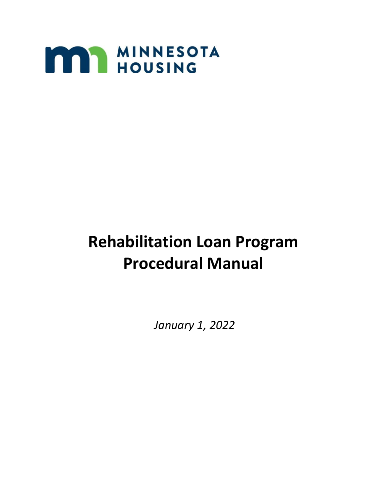

# **Rehabilitation Loan Program Procedural Manual**

*January 1, 2022*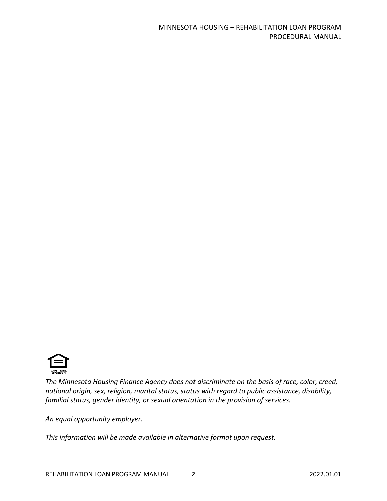

*The Minnesota Housing Finance Agency does not discriminate on the basis of race, color, creed, national origin, sex, religion, marital status, status with regard to public assistance, disability, familial status, gender identity, or sexual orientation in the provision of services.*

*An equal opportunity employer.*

*This information will be made available in alternative format upon request.*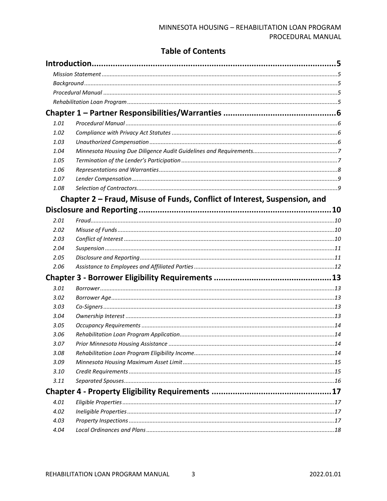#### MINNESOTA HOUSING - REHABILITATION LOAN PROGRAM PROCEDURAL MANUAL

# **Table of Contents**

| 1.01 |                                                                           |  |
|------|---------------------------------------------------------------------------|--|
| 1.02 |                                                                           |  |
| 1.03 |                                                                           |  |
| 1.04 |                                                                           |  |
| 1.05 |                                                                           |  |
| 1.06 |                                                                           |  |
| 1.07 |                                                                           |  |
| 1.08 |                                                                           |  |
|      | Chapter 2 – Fraud, Misuse of Funds, Conflict of Interest, Suspension, and |  |
|      |                                                                           |  |
| 2.01 |                                                                           |  |
| 2.02 |                                                                           |  |
| 2.03 |                                                                           |  |
| 2.04 |                                                                           |  |
| 2.05 |                                                                           |  |
| 2.06 |                                                                           |  |
|      |                                                                           |  |
| 3.01 |                                                                           |  |
| 3.02 |                                                                           |  |
| 3.03 |                                                                           |  |
| 3.04 |                                                                           |  |
| 3.05 |                                                                           |  |
| 3.06 |                                                                           |  |
| 3.07 |                                                                           |  |
| 3.08 |                                                                           |  |
| 3.09 |                                                                           |  |
| 3.10 |                                                                           |  |
| 3.11 |                                                                           |  |
|      |                                                                           |  |
| 4.01 |                                                                           |  |
| 4.02 |                                                                           |  |
| 4.03 |                                                                           |  |
| 4.04 |                                                                           |  |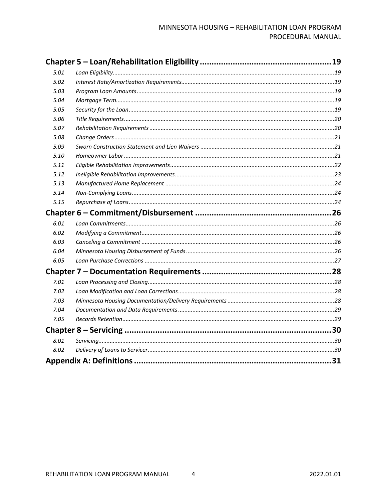#### MINNESOTA HOUSING - REHABILITATION LOAN PROGRAM PROCEDURAL MANUAL

| 5.01 |  |
|------|--|
| 5.02 |  |
| 5.03 |  |
| 5.04 |  |
| 5.05 |  |
| 5.06 |  |
| 5.07 |  |
| 5.08 |  |
| 5.09 |  |
| 5.10 |  |
| 5.11 |  |
| 5.12 |  |
| 5.13 |  |
| 5.14 |  |
| 5.15 |  |
|      |  |
| 6.01 |  |
| 6.02 |  |
| 6.03 |  |
| 6.04 |  |
| 6.05 |  |
|      |  |
| 7.01 |  |
| 7.02 |  |
| 7.03 |  |
| 7.04 |  |
| 7.05 |  |
|      |  |
| 8.01 |  |
| 8.02 |  |
|      |  |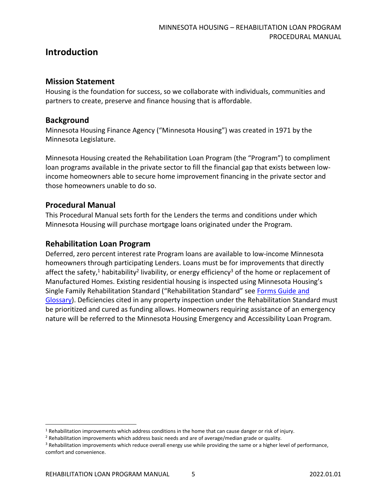# <span id="page-4-0"></span>**Introduction**

#### <span id="page-4-1"></span>**Mission Statement**

Housing is the foundation for success, so we collaborate with individuals, communities and partners to create, preserve and finance housing that is affordable.

#### <span id="page-4-2"></span>**Background**

Minnesota Housing Finance Agency ("Minnesota Housing") was created in 1971 by the Minnesota Legislature.

Minnesota Housing created the Rehabilitation Loan Program (the "Program") to compliment loan programs available in the private sector to fill the financial gap that exists between lowincome homeowners able to secure home improvement financing in the private sector and those homeowners unable to do so.

## <span id="page-4-3"></span>**Procedural Manual**

This Procedural Manual sets forth for the Lenders the terms and conditions under which Minnesota Housing will purchase mortgage loans originated under the Program.

#### <span id="page-4-4"></span>**Rehabilitation Loan Program**

Deferred, zero percent interest rate Program loans are available to low-income Minnesota homeowners through participating Lenders. Loans must be for improvements that directly affect the safety,<sup>1</sup> habitability<sup>2</sup> livability, or energy efficiency<sup>3</sup> of the home or replacement of Manufactured Homes. Existing residential housing is inspected using Minnesota Housing's Single Family Rehabilitation Standard ("Rehabilitation Standard" see [Forms Guide and](http://www.mnhousing.gov/get/MHFA_203004)  [Glossary\)](http://www.mnhousing.gov/get/MHFA_203004). Deficiencies cited in any property inspection under the Rehabilitation Standard must be prioritized and cured as funding allows. Homeowners requiring assistance of an emergency nature will be referred to the Minnesota Housing Emergency and Accessibility Loan Program.

<sup>&</sup>lt;sup>1</sup> Rehabilitation improvements which address conditions in the home that can cause danger or risk of injury.

<sup>&</sup>lt;sup>2</sup> Rehabilitation improvements which address basic needs and are of average/median grade or quality.

<sup>&</sup>lt;sup>3</sup> Rehabilitation improvements which reduce overall energy use while providing the same or a higher level of performance, comfort and convenience.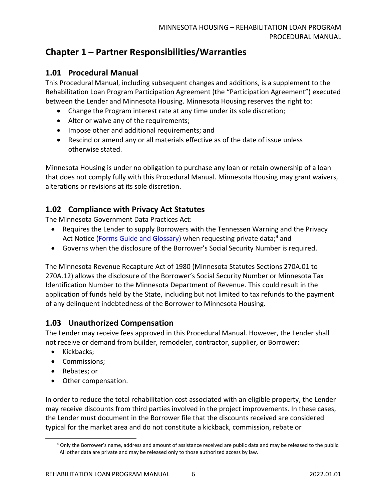# <span id="page-5-0"></span>**Chapter 1 – Partner Responsibilities/Warranties**

# <span id="page-5-1"></span>**1.01 Procedural Manual**

This Procedural Manual, including subsequent changes and additions, is a supplement to the Rehabilitation Loan Program Participation Agreement (the "Participation Agreement") executed between the Lender and Minnesota Housing. Minnesota Housing reserves the right to:

- Change the Program interest rate at any time under its sole discretion;
- Alter or waive any of the requirements;
- Impose other and additional requirements; and
- Rescind or amend any or all materials effective as of the date of issue unless otherwise stated.

Minnesota Housing is under no obligation to purchase any loan or retain ownership of a loan that does not comply fully with this Procedural Manual. Minnesota Housing may grant waivers, alterations or revisions at its sole discretion.

# <span id="page-5-2"></span>**1.02 Compliance with Privacy Act Statutes**

The Minnesota Government Data Practices Act:

- Requires the Lender to supply Borrowers with the Tennessen Warning and the Privacy Act Notice [\(Forms Guide and Glossary\)](http://www.mnhousing.gov/get/MHFA_203004) when requesting private data;<sup>4</sup> and
- Governs when the disclosure of the Borrower's Social Security Number is required.

The Minnesota Revenue Recapture Act of 1980 (Minnesota Statutes Sections 270A.01 to 270A.12) allows the disclosure of the Borrower's Social Security Number or Minnesota Tax Identification Number to the Minnesota Department of Revenue. This could result in the application of funds held by the State, including but not limited to tax refunds to the payment of any delinquent indebtedness of the Borrower to Minnesota Housing.

#### <span id="page-5-3"></span>**1.03 Unauthorized Compensation**

The Lender may receive fees approved in this Procedural Manual. However, the Lender shall not receive or demand from builder, remodeler, contractor, supplier, or Borrower:

- Kickbacks;
- Commissions;
- Rebates; or
- Other compensation.

In order to reduce the total rehabilitation cost associated with an eligible property, the Lender may receive discounts from third parties involved in the project improvements. In these cases, the Lender must document in the Borrower file that the discounts received are considered typical for the market area and do not constitute a kickback, commission, rebate or

<sup>&</sup>lt;sup>4</sup> Only the Borrower's name, address and amount of assistance received are public data and may be released to the public. All other data are private and may be released only to those authorized access by law.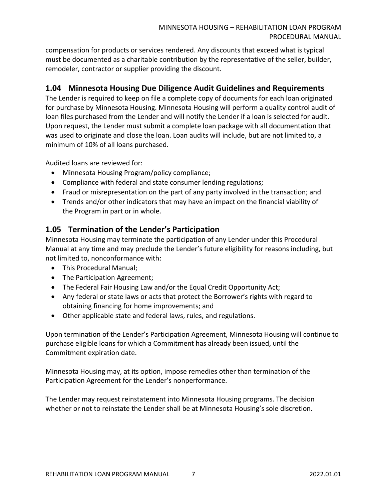compensation for products or services rendered. Any discounts that exceed what is typical must be documented as a charitable contribution by the representative of the seller, builder, remodeler, contractor or supplier providing the discount.

# <span id="page-6-0"></span>**1.04 Minnesota Housing Due Diligence Audit Guidelines and Requirements**

The Lender is required to keep on file a complete copy of documents for each loan originated for purchase by Minnesota Housing. Minnesota Housing will perform a quality control audit of loan files purchased from the Lender and will notify the Lender if a loan is selected for audit. Upon request, the Lender must submit a complete loan package with all documentation that was used to originate and close the loan. Loan audits will include, but are not limited to, a minimum of 10% of all loans purchased.

Audited loans are reviewed for:

- Minnesota Housing Program/policy compliance;
- Compliance with federal and state consumer lending regulations;
- Fraud or misrepresentation on the part of any party involved in the transaction; and
- Trends and/or other indicators that may have an impact on the financial viability of the Program in part or in whole.

## <span id="page-6-1"></span>**1.05 Termination of the Lender's Participation**

Minnesota Housing may terminate the participation of any Lender under this Procedural Manual at any time and may preclude the Lender's future eligibility for reasons including, but not limited to, nonconformance with:

- This Procedural Manual;
- The Participation Agreement;
- The Federal Fair Housing Law and/or the Equal Credit Opportunity Act;
- Any federal or state laws or acts that protect the Borrower's rights with regard to obtaining financing for home improvements; and
- Other applicable state and federal laws, rules, and regulations.

Upon termination of the Lender's Participation Agreement, Minnesota Housing will continue to purchase eligible loans for which a Commitment has already been issued, until the Commitment expiration date.

Minnesota Housing may, at its option, impose remedies other than termination of the Participation Agreement for the Lender's nonperformance.

The Lender may request reinstatement into Minnesota Housing programs. The decision whether or not to reinstate the Lender shall be at Minnesota Housing's sole discretion.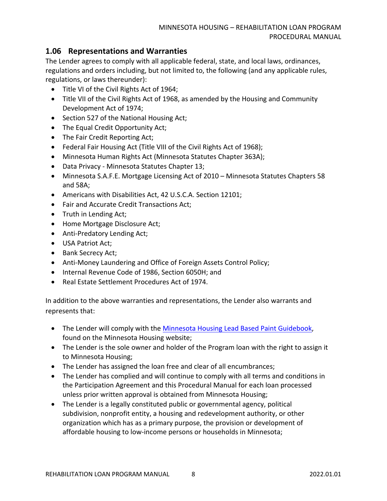# <span id="page-7-0"></span>**1.06 Representations and Warranties**

The Lender agrees to comply with all applicable federal, state, and local laws, ordinances, regulations and orders including, but not limited to, the following (and any applicable rules, regulations, or laws thereunder):

- Title VI of the Civil Rights Act of 1964;
- Title VII of the Civil Rights Act of 1968, as amended by the Housing and Community Development Act of 1974;
- Section 527 of the National Housing Act;
- The Equal Credit Opportunity Act;
- The Fair Credit Reporting Act;
- Federal Fair Housing Act (Title VIII of the Civil Rights Act of 1968);
- Minnesota Human Rights Act (Minnesota Statutes Chapter 363A);
- Data Privacy Minnesota Statutes Chapter 13;
- Minnesota S.A.F.E. Mortgage Licensing Act of 2010 Minnesota Statutes Chapters 58 and 58A;
- Americans with Disabilities Act, 42 U.S.C.A. Section 12101;
- Fair and Accurate Credit Transactions Act;
- Truth in Lending Act;
- Home Mortgage Disclosure Act;
- Anti-Predatory Lending Act;
- USA Patriot Act;
- Bank Secrecy Act;
- Anti-Money Laundering and Office of Foreign Assets Control Policy;
- Internal Revenue Code of 1986, Section 6050H; and
- Real Estate Settlement Procedures Act of 1974.

In addition to the above warranties and representations, the Lender also warrants and represents that:

- The Lender will comply with the [Minnesota Housing Lead Based Paint Guidebook,](https://www.mnhousing.gov/sites/Satellite?blobcol=urldata&blobheadername1=Content-Type&blobheadername2=Content-Disposition&blobheadername3=MDT-Type&blobheadervalue1=application%2Fpdf&blobheadervalue2=attachment%3B+filename%3DMHFA_006950.pdf&blobheadervalue3=abinary%3B+charset%3DUTF-8&blobkey=id&blobtable=MungoBlobs&blobwhere=1533152583887&ssbinary=true) found on the Minnesota Housing website;
- The Lender is the sole owner and holder of the Program loan with the right to assign it to Minnesota Housing;
- The Lender has assigned the loan free and clear of all encumbrances;
- The Lender has complied and will continue to comply with all terms and conditions in the Participation Agreement and this Procedural Manual for each loan processed unless prior written approval is obtained from Minnesota Housing;
- The Lender is a legally constituted public or governmental agency, political subdivision, nonprofit entity, a housing and redevelopment authority, or other organization which has as a primary purpose, the provision or development of affordable housing to low-income persons or households in Minnesota;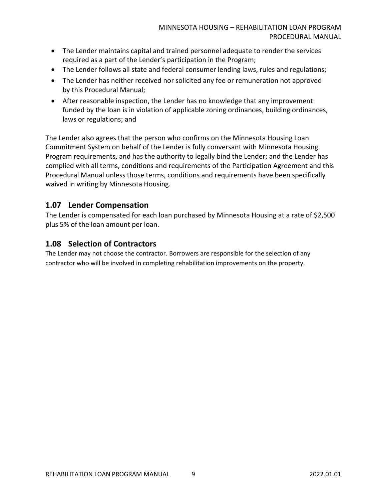- The Lender maintains capital and trained personnel adequate to render the services required as a part of the Lender's participation in the Program;
- The Lender follows all state and federal consumer lending laws, rules and regulations;
- The Lender has neither received nor solicited any fee or remuneration not approved by this Procedural Manual;
- After reasonable inspection, the Lender has no knowledge that any improvement funded by the loan is in violation of applicable zoning ordinances, building ordinances, laws or regulations; and

The Lender also agrees that the person who confirms on the Minnesota Housing Loan Commitment System on behalf of the Lender is fully conversant with Minnesota Housing Program requirements, and has the authority to legally bind the Lender; and the Lender has complied with all terms, conditions and requirements of the Participation Agreement and this Procedural Manual unless those terms, conditions and requirements have been specifically waived in writing by Minnesota Housing.

## <span id="page-8-0"></span>**1.07 Lender Compensation**

The Lender is compensated for each loan purchased by Minnesota Housing at a rate of \$2,500 plus 5% of the loan amount per loan.

## <span id="page-8-1"></span>**1.08 Selection of Contractors**

The Lender may not choose the contractor. Borrowers are responsible for the selection of any contractor who will be involved in completing rehabilitation improvements on the property.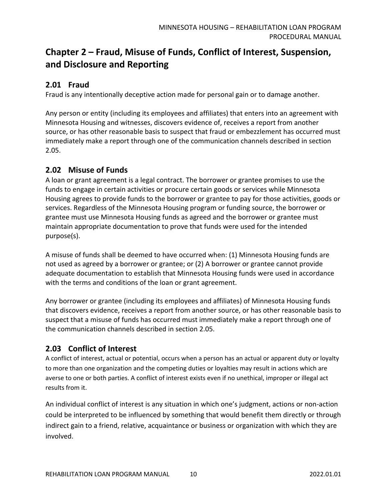# <span id="page-9-0"></span>**Chapter 2 – Fraud, Misuse of Funds, Conflict of Interest, Suspension, and Disclosure and Reporting**

# <span id="page-9-1"></span>**2.01 Fraud**

Fraud is any intentionally deceptive action made for personal gain or to damage another.

Any person or entity (including its employees and affiliates) that enters into an agreement with Minnesota Housing and witnesses, discovers evidence of, receives a report from another source, or has other reasonable basis to suspect that fraud or embezzlement has occurred must immediately make a report through one of the communication channels described in section 2.05.

# <span id="page-9-2"></span>**2.02 Misuse of Funds**

A loan or grant agreement is a legal contract. The borrower or grantee promises to use the funds to engage in certain activities or procure certain goods or services while Minnesota Housing agrees to provide funds to the borrower or grantee to pay for those activities, goods or services. Regardless of the Minnesota Housing program or funding source, the borrower or grantee must use Minnesota Housing funds as agreed and the borrower or grantee must maintain appropriate documentation to prove that funds were used for the intended purpose(s).

A misuse of funds shall be deemed to have occurred when: (1) Minnesota Housing funds are not used as agreed by a borrower or grantee; or (2) A borrower or grantee cannot provide adequate documentation to establish that Minnesota Housing funds were used in accordance with the terms and conditions of the loan or grant agreement.

Any borrower or grantee (including its employees and affiliates) of Minnesota Housing funds that discovers evidence, receives a report from another source, or has other reasonable basis to suspect that a misuse of funds has occurred must immediately make a report through one of the communication channels described in section 2.05.

# <span id="page-9-3"></span>**2.03 Conflict of Interest**

A conflict of interest, actual or potential, occurs when a person has an actual or apparent duty or loyalty to more than one organization and the competing duties or loyalties may result in actions which are averse to one or both parties. A conflict of interest exists even if no unethical, improper or illegal act results from it.

An individual conflict of interest is any situation in which one's judgment, actions or non-action could be interpreted to be influenced by something that would benefit them directly or through indirect gain to a friend, relative, acquaintance or business or organization with which they are involved.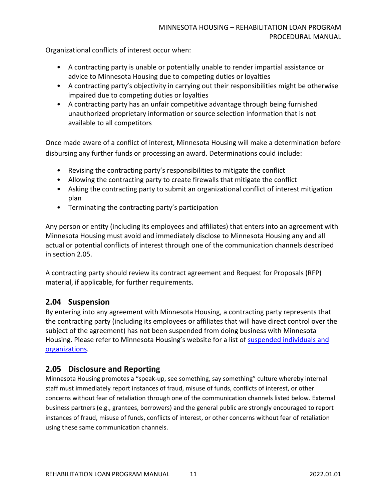Organizational conflicts of interest occur when:

- A contracting party is unable or potentially unable to render impartial assistance or advice to Minnesota Housing due to competing duties or loyalties
- A contracting party's objectivity in carrying out their responsibilities might be otherwise impaired due to competing duties or loyalties
- A contracting party has an unfair competitive advantage through being furnished unauthorized proprietary information or source selection information that is not available to all competitors

Once made aware of a conflict of interest, Minnesota Housing will make a determination before disbursing any further funds or processing an award. Determinations could include:

- Revising the contracting party's responsibilities to mitigate the conflict
- Allowing the contracting party to create firewalls that mitigate the conflict
- Asking the contracting party to submit an organizational conflict of interest mitigation plan
- Terminating the contracting party's participation

Any person or entity (including its employees and affiliates) that enters into an agreement with Minnesota Housing must avoid and immediately disclose to Minnesota Housing any and all actual or potential conflicts of interest through one of the communication channels described in section 2.05.

A contracting party should review its contract agreement and Request for Proposals (RFP) material, if applicable, for further requirements.

#### <span id="page-10-0"></span>**2.04 Suspension**

By entering into any agreement with Minnesota Housing, a contracting party represents that the contracting party (including its employees or affiliates that will have direct control over the subject of the agreement) has not been suspended from doing business with Minnesota Housing. Please refer to Minnesota Housing's website for a list of [suspended individuals and](http://www.mnhousing.gov/sites/np/suspensions)  [organizations.](http://www.mnhousing.gov/sites/np/suspensions)

# <span id="page-10-1"></span>**2.05 Disclosure and Reporting**

Minnesota Housing promotes a "speak-up, see something, say something" culture whereby internal staff must immediately report instances of fraud, misuse of funds, conflicts of interest, or other concerns without fear of retaliation through one of the communication channels listed below. External business partners (e.g., grantees, borrowers) and the general public are strongly encouraged to report instances of fraud, misuse of funds, conflicts of interest, or other concerns without fear of retaliation using these same communication channels.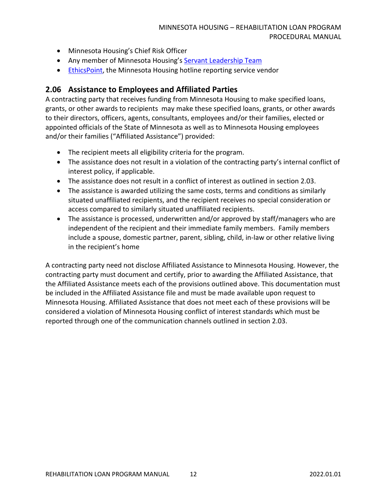#### MINNESOTA HOUSING – REHABILITATION LOAN PROGRAM PROCEDURAL MANUAL

- Minnesota Housing's Chief Risk Officer
- Any member of Minnesota Housing's [Servant Leadership Team](http://www.mnhousing.gov/sites/np/leadership)
- [EthicsPoint,](https://secure.ethicspoint.com/domain/media/en/gui/30639/index.html) the Minnesota Housing hotline reporting service vendor

#### <span id="page-11-0"></span>**2.06 Assistance to Employees and Affiliated Parties**

A contracting party that receives funding from Minnesota Housing to make specified loans, grants, or other awards to recipients may make these specified loans, grants, or other awards to their directors, officers, agents, consultants, employees and/or their families, elected or appointed officials of the State of Minnesota as well as to Minnesota Housing employees and/or their families ("Affiliated Assistance") provided:

- The recipient meets all eligibility criteria for the program.
- The assistance does not result in a violation of the contracting party's internal conflict of interest policy, if applicable.
- The assistance does not result in a conflict of interest as outlined in section 2.03.
- The assistance is awarded utilizing the same costs, terms and conditions as similarly situated unaffiliated recipients, and the recipient receives no special consideration or access compared to similarly situated unaffiliated recipients.
- The assistance is processed, underwritten and/or approved by staff/managers who are independent of the recipient and their immediate family members. Family members include a spouse, domestic partner, parent, sibling, child, in-law or other relative living in the recipient's home

A contracting party need not disclose Affiliated Assistance to Minnesota Housing. However, the contracting party must document and certify, prior to awarding the Affiliated Assistance, that the Affiliated Assistance meets each of the provisions outlined above. This documentation must be included in the Affiliated Assistance file and must be made available upon request to Minnesota Housing. Affiliated Assistance that does not meet each of these provisions will be considered a violation of Minnesota Housing conflict of interest standards which must be reported through one of the communication channels outlined in section 2.03.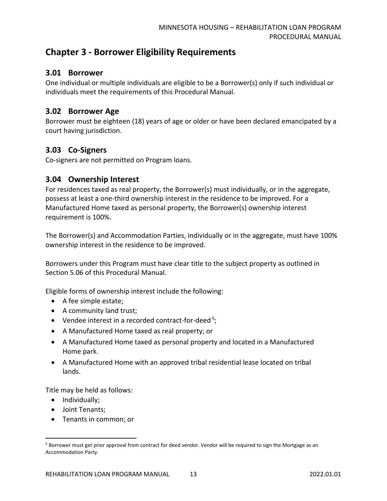# <span id="page-12-0"></span>**Chapter 3 - Borrower Eligibility Requirements**

#### <span id="page-12-1"></span>**3.01 Borrower**

One individual or multiple individuals are eligible to be a Borrower(s) only if such individual or individuals meet the requirements of this Procedural Manual.

#### <span id="page-12-2"></span>**3.02 Borrower Age**

Borrower must be eighteen (18) years of age or older or have been declared emancipated by a court having jurisdiction.

## <span id="page-12-3"></span>**3.03 Co-Signers**

Co-signers are not permitted on Program loans.

#### <span id="page-12-4"></span>**3.04 Ownership Interest**

For residences taxed as real property, the Borrower(s) must individually, or in the aggregate, possess at least a one-third ownership interest in the residence to be improved. For a Manufactured Home taxed as personal property, the Borrower(s) ownership interest requirement is 100%.

The Borrower(s) and Accommodation Parties, individually or in the aggregate, must have 100% ownership interest in the residence to be improved.

Borrowers under this Program must have clear title to the subject property as outlined in Section 5.06 of this Procedural Manual.

Eligible forms of ownership interest include the following:

- A fee simple estate;
- A community land trust;
- Vendee interest in a recorded contract-for-deed<sup>5</sup>;
- A Manufactured Home taxed as real property; or
- A Manufactured Home taxed as personal property and located in a Manufactured Home park.
- A Manufactured Home with an approved tribal residential lease located on tribal lands.

Title may be held as follows:

- Individually;
- Joint Tenants;
- Tenants in common; or

<sup>&</sup>lt;sup>5</sup> Borrower must get prior approval from contract for deed vendor. Vendor will be required to sign the Mortgage as an Accommodation Party.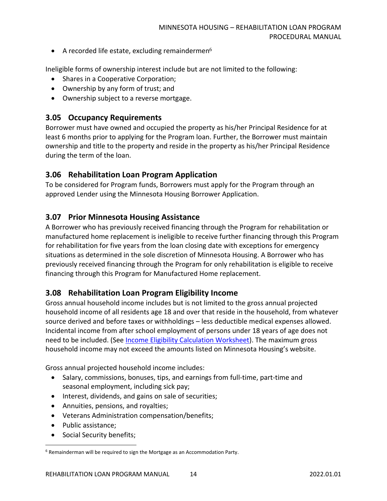$\bullet$  A recorded life estate, excluding remaindermen<sup>6</sup>

Ineligible forms of ownership interest include but are not limited to the following:

- Shares in a Cooperative Corporation;
- Ownership by any form of trust; and
- Ownership subject to a reverse mortgage.

#### <span id="page-13-0"></span>**3.05 Occupancy Requirements**

Borrower must have owned and occupied the property as his/her Principal Residence for at least 6 months prior to applying for the Program loan. Further, the Borrower must maintain ownership and title to the property and reside in the property as his/her Principal Residence during the term of the loan.

#### <span id="page-13-1"></span>**3.06 Rehabilitation Loan Program Application**

To be considered for Program funds, Borrowers must apply for the Program through an approved Lender using the Minnesota Housing Borrower Application.

#### <span id="page-13-2"></span>**3.07 Prior Minnesota Housing Assistance**

A Borrower who has previously received financing through the Program for rehabilitation or manufactured home replacement is ineligible to receive further financing through this Program for rehabilitation for five years from the loan closing date with exceptions for emergency situations as determined in the sole discretion of Minnesota Housing. A Borrower who has previously received financing through the Program for only rehabilitation is eligible to receive financing through this Program for Manufactured Home replacement.

#### <span id="page-13-3"></span>**3.08 Rehabilitation Loan Program Eligibility Income**

Gross annual household income includes but is not limited to the gross annual projected household income of all residents age 18 and over that reside in the household, from whatever source derived and before taxes or withholdings – less deductible medical expenses allowed. Incidental income from after school employment of persons under 18 years of age does not need to be included. (See [Income Eligibility Calculation Worksheet\)](http://www.mnhousing.gov/get/MHFA_203004). The maximum gross household income may not exceed the amounts listed on Minnesota Housing's website.

Gross annual projected household income includes:

- Salary, commissions, bonuses, tips, and earnings from full-time, part-time and seasonal employment, including sick pay;
- Interest, dividends, and gains on sale of securities;
- Annuities, pensions, and royalties;
- Veterans Administration compensation/benefits;
- Public assistance;
- Social Security benefits;

 $6$  Remainderman will be required to sign the Mortgage as an Accommodation Party.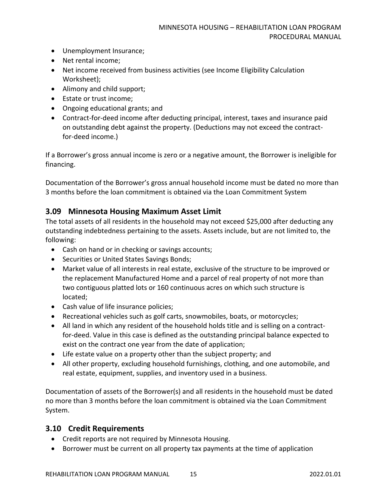- Unemployment Insurance;
- Net rental income;
- Net income received from business activities (see Income Eligibility Calculation Worksheet);
- Alimony and child support;
- Estate or trust income;
- Ongoing educational grants; and
- Contract-for-deed income after deducting principal, interest, taxes and insurance paid on outstanding debt against the property. (Deductions may not exceed the contractfor-deed income.)

If a Borrower's gross annual income is zero or a negative amount, the Borrower is ineligible for financing.

Documentation of the Borrower's gross annual household income must be dated no more than 3 months before the loan commitment is obtained via the Loan Commitment System

#### <span id="page-14-0"></span>**3.09 Minnesota Housing Maximum Asset Limit**

The total assets of all residents in the household may not exceed \$25,000 after deducting any outstanding indebtedness pertaining to the assets. Assets include, but are not limited to, the following:

- Cash on hand or in checking or savings accounts;
- Securities or United States Savings Bonds;
- Market value of all interests in real estate, exclusive of the structure to be improved or the replacement Manufactured Home and a parcel of real property of not more than two contiguous platted lots or 160 continuous acres on which such structure is located;
- Cash value of life insurance policies;
- Recreational vehicles such as golf carts, snowmobiles, boats, or motorcycles;
- All land in which any resident of the household holds title and is selling on a contractfor-deed. Value in this case is defined as the outstanding principal balance expected to exist on the contract one year from the date of application;
- Life estate value on a property other than the subject property; and
- All other property, excluding household furnishings, clothing, and one automobile, and real estate, equipment, supplies, and inventory used in a business.

Documentation of assets of the Borrower(s) and all residents in the household must be dated no more than 3 months before the loan commitment is obtained via the Loan Commitment System.

#### <span id="page-14-1"></span>**3.10 Credit Requirements**

- Credit reports are not required by Minnesota Housing.
- Borrower must be current on all property tax payments at the time of application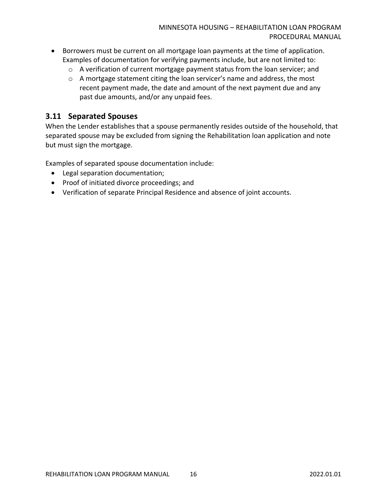- Borrowers must be current on all mortgage loan payments at the time of application. Examples of documentation for verifying payments include, but are not limited to:
	- o A verification of current mortgage payment status from the loan servicer; and
	- o A mortgage statement citing the loan servicer's name and address, the most recent payment made, the date and amount of the next payment due and any past due amounts, and/or any unpaid fees.

## <span id="page-15-0"></span>**3.11 Separated Spouses**

When the Lender establishes that a spouse permanently resides outside of the household, that separated spouse may be excluded from signing the Rehabilitation loan application and note but must sign the mortgage.

Examples of separated spouse documentation include:

- Legal separation documentation;
- Proof of initiated divorce proceedings; and
- Verification of separate Principal Residence and absence of joint accounts.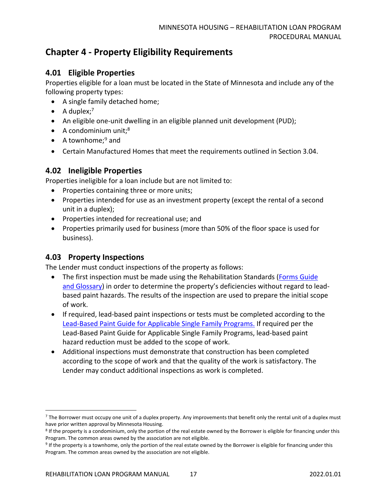# <span id="page-16-0"></span>**Chapter 4 - Property Eligibility Requirements**

#### <span id="page-16-1"></span>**4.01 Eligible Properties**

Properties eligible for a loan must be located in the State of Minnesota and include any of the following property types:

- A single family detached home;
- A duplex; $^7$
- An eligible one-unit dwelling in an eligible planned unit development (PUD);
- $\bullet$  A condominium unit;<sup>8</sup>
- $\bullet$  A townhome:<sup>9</sup> and
- Certain Manufactured Homes that meet the requirements outlined in Section 3.04.

## <span id="page-16-2"></span>**4.02 Ineligible Properties**

Properties ineligible for a loan include but are not limited to:

- Properties containing three or more units;
- Properties intended for use as an investment property (except the rental of a second unit in a duplex);
- Properties intended for recreational use; and
- Properties primarily used for business (more than 50% of the floor space is used for business).

#### <span id="page-16-3"></span>**4.03 Property Inspections**

The Lender must conduct inspections of the property as follows:

- The first inspection must be made using the Rehabilitation Standards (Forms Guide [and Glossary](http://www.mnhousing.gov/get/MHFA_203004)) in order to determine the property's deficiencies without regard to leadbased paint hazards. The results of the inspection are used to prepare the initial scope of work.
- If required, lead-based paint inspections or tests must be completed according to the [Lead-Based Paint Guide for Applicable Single Family Programs.](http://www.mnhousing.gov/get/MHFA_006950) If required per the Lead-Based Paint Guide for Applicable Single Family Programs, lead-based paint hazard reduction must be added to the scope of work.
- Additional inspections must demonstrate that construction has been completed according to the scope of work and that the quality of the work is satisfactory. The Lender may conduct additional inspections as work is completed.

 $<sup>7</sup>$  The Borrower must occupy one unit of a duplex property. Any improvements that benefit only the rental unit of a duplex must</sup> have prior written approval by Minnesota Housing.

<sup>&</sup>lt;sup>8</sup> If the property is a condominium, only the portion of the real estate owned by the Borrower is eligible for financing under this Program. The common areas owned by the association are not eligible.

<sup>&</sup>lt;sup>9</sup> If the property is a townhome, only the portion of the real estate owned by the Borrower is eligible for financing under this Program. The common areas owned by the association are not eligible.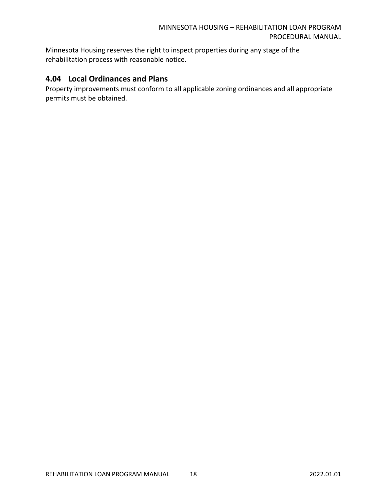Minnesota Housing reserves the right to inspect properties during any stage of the rehabilitation process with reasonable notice.

# <span id="page-17-0"></span>**4.04 Local Ordinances and Plans**

Property improvements must conform to all applicable zoning ordinances and all appropriate permits must be obtained.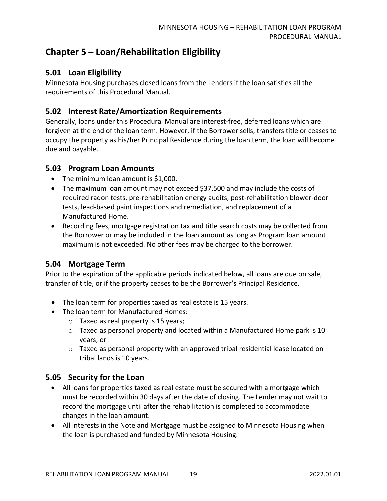# <span id="page-18-0"></span>**Chapter 5 – Loan/Rehabilitation Eligibility**

## <span id="page-18-1"></span>**5.01 Loan Eligibility**

Minnesota Housing purchases closed loans from the Lenders if the loan satisfies all the requirements of this Procedural Manual.

# <span id="page-18-2"></span>**5.02 Interest Rate/Amortization Requirements**

Generally, loans under this Procedural Manual are interest-free, deferred loans which are forgiven at the end of the loan term. However, if the Borrower sells, transfers title or ceases to occupy the property as his/her Principal Residence during the loan term, the loan will become due and payable.

#### <span id="page-18-3"></span>**5.03 Program Loan Amounts**

- The minimum loan amount is \$1,000.
- The maximum loan amount may not exceed \$37,500 and may include the costs of required radon tests, pre-rehabilitation energy audits, post-rehabilitation blower-door tests, lead-based paint inspections and remediation, and replacement of a Manufactured Home.
- Recording fees, mortgage registration tax and title search costs may be collected from the Borrower or may be included in the loan amount as long as Program loan amount maximum is not exceeded. No other fees may be charged to the borrower.

# <span id="page-18-4"></span>**5.04 Mortgage Term**

Prior to the expiration of the applicable periods indicated below, all loans are due on sale, transfer of title, or if the property ceases to be the Borrower's Principal Residence.

- The loan term for properties taxed as real estate is 15 years.
- The loan term for Manufactured Homes:
	- o Taxed as real property is 15 years;
	- o Taxed as personal property and located within a Manufactured Home park is 10 years; or
	- $\circ$  Taxed as personal property with an approved tribal residential lease located on tribal lands is 10 years.

#### <span id="page-18-5"></span>**5.05 Security for the Loan**

- All loans for properties taxed as real estate must be secured with a mortgage which must be recorded within 30 days after the date of closing. The Lender may not wait to record the mortgage until after the rehabilitation is completed to accommodate changes in the loan amount.
- All interests in the Note and Mortgage must be assigned to Minnesota Housing when the loan is purchased and funded by Minnesota Housing.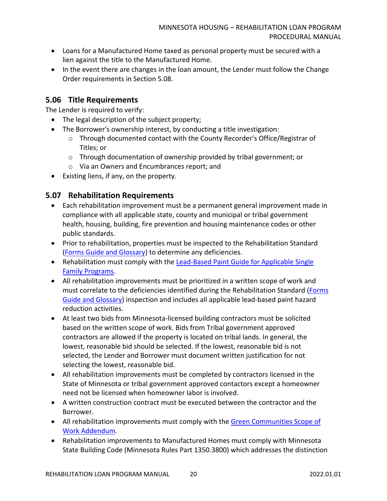- Loans for a Manufactured Home taxed as personal property must be secured with a lien against the title to the Manufactured Home.
- In the event there are changes in the loan amount, the Lender must follow the Change Order requirements in Section 5.08.

# <span id="page-19-0"></span>**5.06 Title Requirements**

The Lender is required to verify:

- The legal description of the subject property;
- The Borrower's ownership interest, by conducting a title investigation:
	- $\circ$  Through documented contact with the County Recorder's Office/Registrar of Titles; or
	- o Through documentation of ownership provided by tribal government; or
	- o Via an Owners and Encumbrances report; and
- Existing liens, if any, on the property.

#### <span id="page-19-1"></span>**5.07 Rehabilitation Requirements**

- Each rehabilitation improvement must be a permanent general improvement made in compliance with all applicable state, county and municipal or tribal government health, housing, building, fire prevention and housing maintenance codes or other public standards.
- Prior to rehabilitation, properties must be inspected to the Rehabilitation Standard [\(Forms Guide and Glossary\)](http://www.mnhousing.gov/get/MHFA_203004) to determine any deficiencies.
- Rehabilitation must comply with the Lead-Based Paint Guide for Applicable Single [Family Programs.](http://www.mnhousing.gov/get/MHFA_006950)
- All rehabilitation improvements must be prioritized in a written scope of work and must correlate to the deficiencies identified during the Rehabilitation Standard [\(Forms](http://www.mnhousing.gov/get/MHFA_203004)  [Guide and Glossary\)](http://www.mnhousing.gov/get/MHFA_203004) inspection and includes all applicable lead-based paint hazard reduction activities.
- At least two bids from Minnesota-licensed building contractors must be solicited based on the written scope of work. Bids from Tribal government approved contractors are allowed if the property is located on tribal lands. In general, the lowest, reasonable bid should be selected. If the lowest, reasonable bid is not selected, the Lender and Borrower must document written justification for not selecting the lowest, reasonable bid.
- All rehabilitation improvements must be completed by contractors licensed in the State of Minnesota or tribal government approved contactors except a homeowner need not be licensed when homeowner labor is involved.
- A written construction contract must be executed between the contractor and the Borrower.
- All rehabilitation improvements must comply with the Green Communities Scope of [Work Addendum.](http://www.mnhousing.gov/get/MHFA_203004)
- Rehabilitation improvements to Manufactured Homes must comply with Minnesota State Building Code (Minnesota Rules Part 1350.3800) which addresses the distinction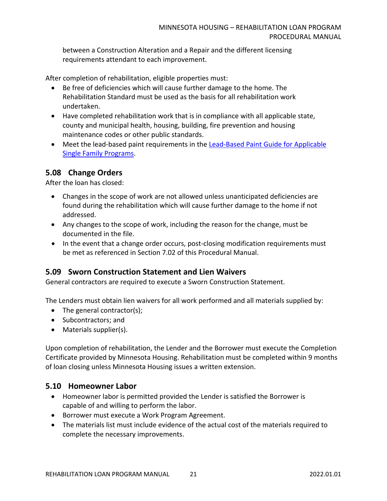between a Construction Alteration and a Repair and the different licensing requirements attendant to each improvement.

After completion of rehabilitation, eligible properties must:

- Be free of deficiencies which will cause further damage to the home. The Rehabilitation Standard must be used as the basis for all rehabilitation work undertaken.
- Have completed rehabilitation work that is in compliance with all applicable state, county and municipal health, housing, building, fire prevention and housing maintenance codes or other public standards.
- Meet the lead-based paint requirements in the [Lead-Based Paint Guide for Applicable](https://www.mnhousing.gov/sites/Satellite?blobcol=urldata&blobheadername1=Content-Type&blobheadername2=Content-Disposition&blobheadername3=MDT-Type&blobheadervalue1=application%2Fpdf&blobheadervalue2=attachment%3B+filename%3DMHFA_006950.pdf&blobheadervalue3=abinary%3B+charset%3DUTF-8&blobkey=id&blobtable=MungoBlobs&blobwhere=1533152583887&ssbinary=true)  [Single Family Programs.](https://www.mnhousing.gov/sites/Satellite?blobcol=urldata&blobheadername1=Content-Type&blobheadername2=Content-Disposition&blobheadername3=MDT-Type&blobheadervalue1=application%2Fpdf&blobheadervalue2=attachment%3B+filename%3DMHFA_006950.pdf&blobheadervalue3=abinary%3B+charset%3DUTF-8&blobkey=id&blobtable=MungoBlobs&blobwhere=1533152583887&ssbinary=true)

#### <span id="page-20-0"></span>**5.08 Change Orders**

After the loan has closed:

- Changes in the scope of work are not allowed unless unanticipated deficiencies are found during the rehabilitation which will cause further damage to the home if not addressed.
- Any changes to the scope of work, including the reason for the change, must be documented in the file.
- In the event that a change order occurs, post-closing modification requirements must be met as referenced in Section 7.02 of this Procedural Manual.

#### <span id="page-20-1"></span>**5.09 Sworn Construction Statement and Lien Waivers**

General contractors are required to execute a Sworn Construction Statement.

The Lenders must obtain lien waivers for all work performed and all materials supplied by:

- The general contractor(s);
- Subcontractors; and
- Materials supplier(s).

Upon completion of rehabilitation, the Lender and the Borrower must execute the Completion Certificate provided by Minnesota Housing. Rehabilitation must be completed within 9 months of loan closing unless Minnesota Housing issues a written extension.

#### <span id="page-20-2"></span>**5.10 Homeowner Labor**

- Homeowner labor is permitted provided the Lender is satisfied the Borrower is capable of and willing to perform the labor.
- Borrower must execute a Work Program Agreement.
- The materials list must include evidence of the actual cost of the materials required to complete the necessary improvements.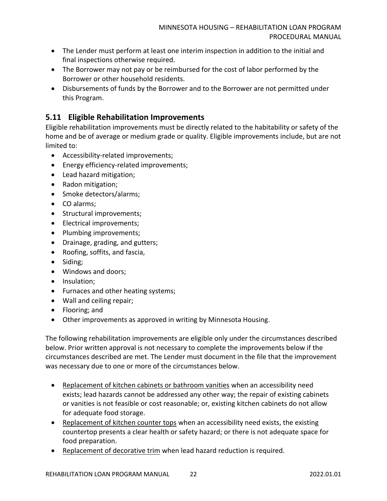- The Lender must perform at least one interim inspection in addition to the initial and final inspections otherwise required.
- The Borrower may not pay or be reimbursed for the cost of labor performed by the Borrower or other household residents.
- Disbursements of funds by the Borrower and to the Borrower are not permitted under this Program.

# <span id="page-21-0"></span>**5.11 Eligible Rehabilitation Improvements**

Eligible rehabilitation improvements must be directly related to the habitability or safety of the home and be of average or medium grade or quality. Eligible improvements include, but are not limited to:

- Accessibility-related improvements;
- Energy efficiency-related improvements;
- Lead hazard mitigation;
- Radon mitigation;
- Smoke detectors/alarms;
- CO alarms;
- Structural improvements;
- Electrical improvements;
- Plumbing improvements;
- Drainage, grading, and gutters;
- Roofing, soffits, and fascia,
- Siding;
- Windows and doors;
- Insulation;
- Furnaces and other heating systems;
- Wall and ceiling repair;
- Flooring; and
- Other improvements as approved in writing by Minnesota Housing.

The following rehabilitation improvements are eligible only under the circumstances described below. Prior written approval is not necessary to complete the improvements below if the circumstances described are met. The Lender must document in the file that the improvement was necessary due to one or more of the circumstances below.

- Replacement of kitchen cabinets or bathroom vanities when an accessibility need exists; lead hazards cannot be addressed any other way; the repair of existing cabinets or vanities is not feasible or cost reasonable; or, existing kitchen cabinets do not allow for adequate food storage.
- Replacement of kitchen counter tops when an accessibility need exists, the existing countertop presents a clear health or safety hazard; or there is not adequate space for food preparation.
- Replacement of decorative trim when lead hazard reduction is required.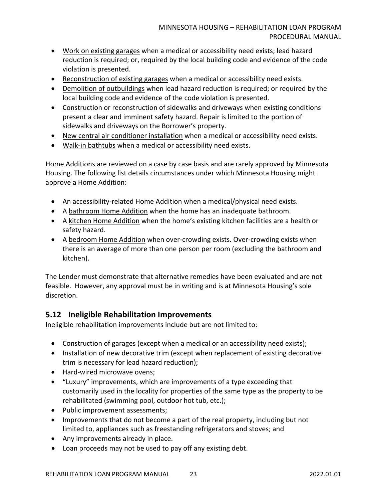- Work on existing garages when a medical or accessibility need exists; lead hazard reduction is required; or, required by the local building code and evidence of the code violation is presented.
- Reconstruction of existing garages when a medical or accessibility need exists.
- Demolition of outbuildings when lead hazard reduction is required; or required by the local building code and evidence of the code violation is presented.
- Construction or reconstruction of sidewalks and driveways when existing conditions present a clear and imminent safety hazard. Repair is limited to the portion of sidewalks and driveways on the Borrower's property.
- New central air conditioner installation when a medical or accessibility need exists.
- Walk-in bathtubs when a medical or accessibility need exists.

Home Additions are reviewed on a case by case basis and are rarely approved by Minnesota Housing. The following list details circumstances under which Minnesota Housing might approve a Home Addition:

- An accessibility-related Home Addition when a medical/physical need exists.
- A bathroom Home Addition when the home has an inadequate bathroom.
- A kitchen Home Addition when the home's existing kitchen facilities are a health or safety hazard.
- A bedroom Home Addition when over-crowding exists. Over-crowding exists when there is an average of more than one person per room (excluding the bathroom and kitchen).

The Lender must demonstrate that alternative remedies have been evaluated and are not feasible. However, any approval must be in writing and is at Minnesota Housing's sole discretion.

#### <span id="page-22-0"></span>**5.12 Ineligible Rehabilitation Improvements**

Ineligible rehabilitation improvements include but are not limited to:

- Construction of garages (except when a medical or an accessibility need exists);
- Installation of new decorative trim (except when replacement of existing decorative trim is necessary for lead hazard reduction);
- Hard-wired microwave ovens;
- "Luxury" improvements, which are improvements of a type exceeding that customarily used in the locality for properties of the same type as the property to be rehabilitated (swimming pool, outdoor hot tub, etc.);
- Public improvement assessments;
- Improvements that do not become a part of the real property, including but not limited to, appliances such as freestanding refrigerators and stoves; and
- Any improvements already in place.
- Loan proceeds may not be used to pay off any existing debt.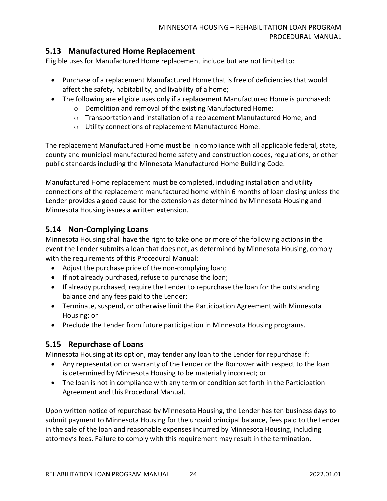# <span id="page-23-0"></span>**5.13 Manufactured Home Replacement**

Eligible uses for Manufactured Home replacement include but are not limited to:

- Purchase of a replacement Manufactured Home that is free of deficiencies that would affect the safety, habitability, and livability of a home;
- The following are eligible uses only if a replacement Manufactured Home is purchased:
	- o Demolition and removal of the existing Manufactured Home;
	- o Transportation and installation of a replacement Manufactured Home; and
	- o Utility connections of replacement Manufactured Home.

The replacement Manufactured Home must be in compliance with all applicable federal, state, county and municipal manufactured home safety and construction codes, regulations, or other public standards including the Minnesota Manufactured Home Building Code.

Manufactured Home replacement must be completed, including installation and utility connections of the replacement manufactured home within 6 months of loan closing unless the Lender provides a good cause for the extension as determined by Minnesota Housing and Minnesota Housing issues a written extension.

# <span id="page-23-1"></span>**5.14 Non-Complying Loans**

Minnesota Housing shall have the right to take one or more of the following actions in the event the Lender submits a loan that does not, as determined by Minnesota Housing, comply with the requirements of this Procedural Manual:

- Adjust the purchase price of the non-complying loan;
- If not already purchased, refuse to purchase the loan;
- If already purchased, require the Lender to repurchase the loan for the outstanding balance and any fees paid to the Lender;
- Terminate, suspend, or otherwise limit the Participation Agreement with Minnesota Housing; or
- Preclude the Lender from future participation in Minnesota Housing programs.

#### <span id="page-23-2"></span>**5.15 Repurchase of Loans**

Minnesota Housing at its option, may tender any loan to the Lender for repurchase if:

- Any representation or warranty of the Lender or the Borrower with respect to the loan is determined by Minnesota Housing to be materially incorrect; or
- The loan is not in compliance with any term or condition set forth in the Participation Agreement and this Procedural Manual.

Upon written notice of repurchase by Minnesota Housing, the Lender has ten business days to submit payment to Minnesota Housing for the unpaid principal balance, fees paid to the Lender in the sale of the loan and reasonable expenses incurred by Minnesota Housing, including attorney's fees. Failure to comply with this requirement may result in the termination,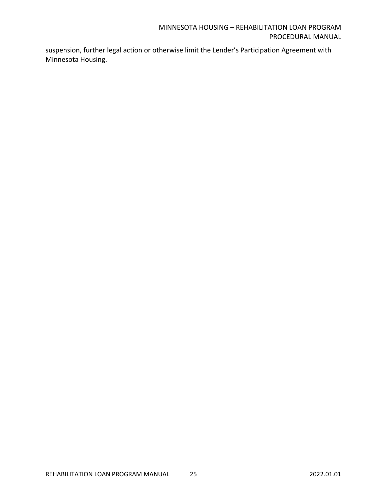suspension, further legal action or otherwise limit the Lender's Participation Agreement with Minnesota Housing.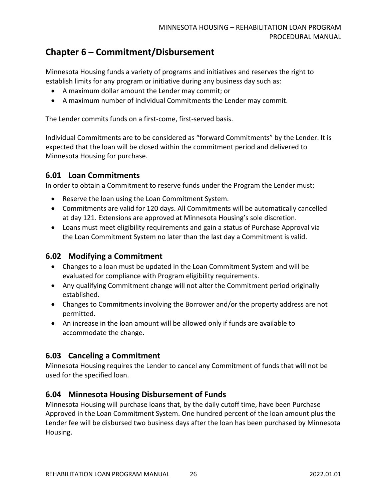# <span id="page-25-0"></span>**Chapter 6 – Commitment/Disbursement**

Minnesota Housing funds a variety of programs and initiatives and reserves the right to establish limits for any program or initiative during any business day such as:

- A maximum dollar amount the Lender may commit; or
- A maximum number of individual Commitments the Lender may commit.

The Lender commits funds on a first-come, first-served basis.

Individual Commitments are to be considered as "forward Commitments" by the Lender. It is expected that the loan will be closed within the commitment period and delivered to Minnesota Housing for purchase.

#### <span id="page-25-1"></span>**6.01 Loan Commitments**

In order to obtain a Commitment to reserve funds under the Program the Lender must:

- Reserve the loan using the Loan Commitment System.
- Commitments are valid for 120 days. All Commitments will be automatically cancelled at day 121. Extensions are approved at Minnesota Housing's sole discretion.
- Loans must meet eligibility requirements and gain a status of Purchase Approval via the Loan Commitment System no later than the last day a Commitment is valid.

#### <span id="page-25-2"></span>**6.02 Modifying a Commitment**

- Changes to a loan must be updated in the Loan Commitment System and will be evaluated for compliance with Program eligibility requirements.
- Any qualifying Commitment change will not alter the Commitment period originally established.
- Changes to Commitments involving the Borrower and/or the property address are not permitted.
- An increase in the loan amount will be allowed only if funds are available to accommodate the change.

# <span id="page-25-3"></span>**6.03 Canceling a Commitment**

Minnesota Housing requires the Lender to cancel any Commitment of funds that will not be used for the specified loan.

#### <span id="page-25-4"></span>**6.04 Minnesota Housing Disbursement of Funds**

Minnesota Housing will purchase loans that, by the daily cutoff time, have been Purchase Approved in the Loan Commitment System. One hundred percent of the loan amount plus the Lender fee will be disbursed two business days after the loan has been purchased by Minnesota Housing.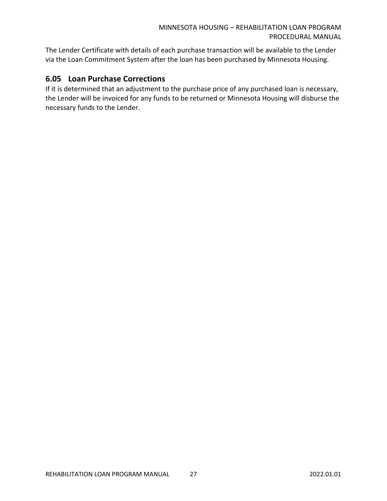The Lender Certificate with details of each purchase transaction will be available to the Lender via the Loan Commitment System after the loan has been purchased by Minnesota Housing.

# <span id="page-26-0"></span>**6.05 Loan Purchase Corrections**

If it is determined that an adjustment to the purchase price of any purchased loan is necessary, the Lender will be invoiced for any funds to be returned or Minnesota Housing will disburse the necessary funds to the Lender.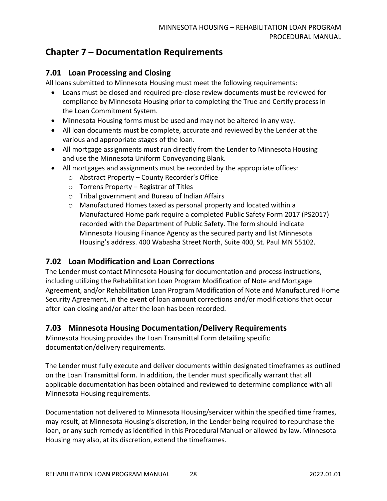# <span id="page-27-0"></span>**Chapter 7 – Documentation Requirements**

#### <span id="page-27-1"></span>**7.01 Loan Processing and Closing**

All loans submitted to Minnesota Housing must meet the following requirements:

- Loans must be closed and required pre-close review documents must be reviewed for compliance by Minnesota Housing prior to completing the True and Certify process in the Loan Commitment System.
- Minnesota Housing forms must be used and may not be altered in any way.
- All loan documents must be complete, accurate and reviewed by the Lender at the various and appropriate stages of the loan.
- All mortgage assignments must run directly from the Lender to Minnesota Housing and use the Minnesota Uniform Conveyancing Blank.
- All mortgages and assignments must be recorded by the appropriate offices:
	- o Abstract Property County Recorder's Office
	- $\circ$  Torrens Property Registrar of Titles
	- o Tribal government and Bureau of Indian Affairs
	- o Manufactured Homes taxed as personal property and located within a Manufactured Home park require a completed Public Safety Form 2017 (PS2017) recorded with the Department of Public Safety. The form should indicate Minnesota Housing Finance Agency as the secured party and list Minnesota Housing's address. 400 Wabasha Street North, Suite 400, St. Paul MN 55102.

#### <span id="page-27-2"></span>**7.02 Loan Modification and Loan Corrections**

The Lender must contact Minnesota Housing for documentation and process instructions, including utilizing the Rehabilitation Loan Program Modification of Note and Mortgage Agreement, and/or Rehabilitation Loan Program Modification of Note and Manufactured Home Security Agreement, in the event of loan amount corrections and/or modifications that occur after loan closing and/or after the loan has been recorded.

#### <span id="page-27-3"></span>**7.03 Minnesota Housing Documentation/Delivery Requirements**

Minnesota Housing provides the Loan Transmittal Form detailing specific documentation/delivery requirements.

The Lender must fully execute and deliver documents within designated timeframes as outlined on the Loan Transmittal form. In addition, the Lender must specifically warrant that all applicable documentation has been obtained and reviewed to determine compliance with all Minnesota Housing requirements.

Documentation not delivered to Minnesota Housing/servicer within the specified time frames, may result, at Minnesota Housing's discretion, in the Lender being required to repurchase the loan, or any such remedy as identified in this Procedural Manual or allowed by law. Minnesota Housing may also, at its discretion, extend the timeframes.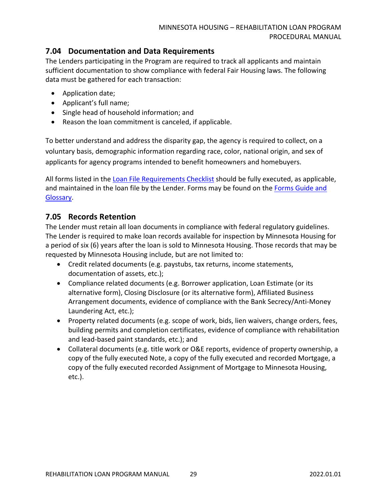## <span id="page-28-0"></span>**7.04 Documentation and Data Requirements**

The Lenders participating in the Program are required to track all applicants and maintain sufficient documentation to show compliance with federal Fair Housing laws. The following data must be gathered for each transaction:

- Application date;
- Applicant's full name;
- Single head of household information; and
- Reason the loan commitment is canceled, if applicable.

To better understand and address the disparity gap, the agency is required to collect, on a voluntary basis, demographic information regarding race, color, national origin, and sex of applicants for agency programs intended to benefit homeowners and homebuyers.

All forms listed in the [Loan File Requirements Checklist](http://www.mnhousing.gov/get/MHFA_012087) should be fully executed, as applicable, and maintained in the loan file by the Lender. Forms may be found on the [Forms Guide and](http://www.mnhousing.gov/get/MHFA_203004)  [Glossary.](http://www.mnhousing.gov/get/MHFA_203004)

## <span id="page-28-1"></span>**7.05 Records Retention**

The Lender must retain all loan documents in compliance with federal regulatory guidelines. The Lender is required to make loan records available for inspection by Minnesota Housing for a period of six (6) years after the loan is sold to Minnesota Housing. Those records that may be requested by Minnesota Housing include, but are not limited to:

- Credit related documents (e.g. paystubs, tax returns, income statements, documentation of assets, etc.);
- Compliance related documents (e.g. Borrower application, Loan Estimate (or its alternative form), Closing Disclosure (or its alternative form), Affiliated Business Arrangement documents, evidence of compliance with the Bank Secrecy/Anti-Money Laundering Act, etc.);
- Property related documents (e.g. scope of work, bids, lien waivers, change orders, fees, building permits and completion certificates, evidence of compliance with rehabilitation and lead-based paint standards, etc.); and
- Collateral documents (e.g. title work or O&E reports, evidence of property ownership, a copy of the fully executed Note, a copy of the fully executed and recorded Mortgage, a copy of the fully executed recorded Assignment of Mortgage to Minnesota Housing, etc.).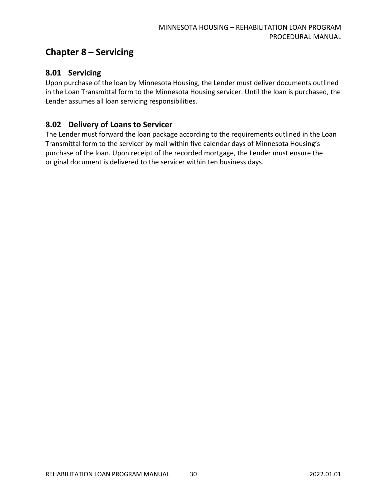# <span id="page-29-0"></span>**Chapter 8 – Servicing**

#### <span id="page-29-1"></span>**8.01 Servicing**

Upon purchase of the loan by Minnesota Housing, the Lender must deliver documents outlined in the Loan Transmittal form to the Minnesota Housing servicer. Until the loan is purchased, the Lender assumes all loan servicing responsibilities.

# <span id="page-29-2"></span>**8.02 Delivery of Loans to Servicer**

The Lender must forward the loan package according to the requirements outlined in the Loan Transmittal form to the servicer by mail within five calendar days of Minnesota Housing's purchase of the loan. Upon receipt of the recorded mortgage, the Lender must ensure the original document is delivered to the servicer within ten business days.